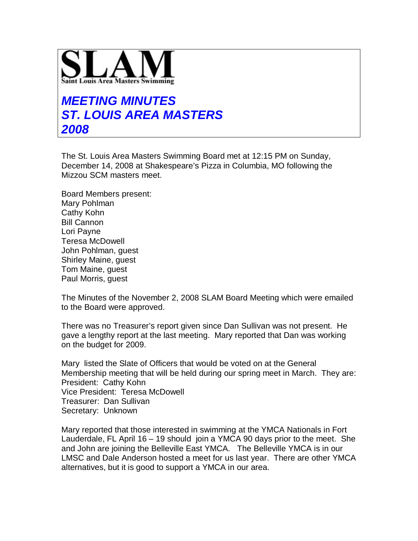

## **MEETING MINUTES ST. LOUIS AREA MASTERS 2008**

The St. Louis Area Masters Swimming Board met at 12:15 PM on Sunday, December 14, 2008 at Shakespeare's Pizza in Columbia, MO following the Mizzou SCM masters meet.

Board Members present: Mary Pohlman Cathy Kohn Bill Cannon Lori Payne Teresa McDowell John Pohlman, guest Shirley Maine, guest Tom Maine, guest Paul Morris, guest

The Minutes of the November 2, 2008 SLAM Board Meeting which were emailed to the Board were approved.

There was no Treasurer's report given since Dan Sullivan was not present. He gave a lengthy report at the last meeting. Mary reported that Dan was working on the budget for 2009.

Mary listed the Slate of Officers that would be voted on at the General Membership meeting that will be held during our spring meet in March. They are: President: Cathy Kohn Vice President: Teresa McDowell Treasurer: Dan Sullivan Secretary: Unknown

Mary reported that those interested in swimming at the YMCA Nationals in Fort Lauderdale, FL April 16 – 19 should join a YMCA 90 days prior to the meet. She and John are joining the Belleville East YMCA. The Belleville YMCA is in our LMSC and Dale Anderson hosted a meet for us last year. There are other YMCA alternatives, but it is good to support a YMCA in our area.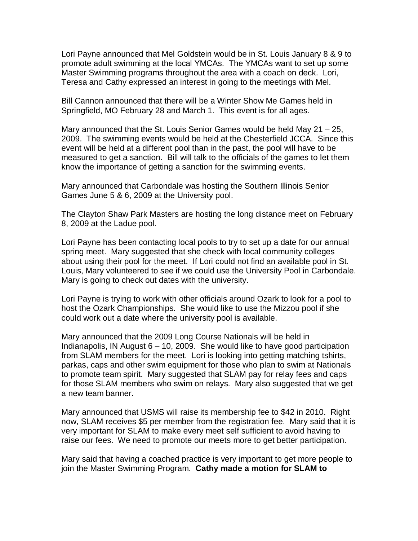Lori Payne announced that Mel Goldstein would be in St. Louis January 8 & 9 to promote adult swimming at the local YMCAs. The YMCAs want to set up some Master Swimming programs throughout the area with a coach on deck. Lori, Teresa and Cathy expressed an interest in going to the meetings with Mel.

Bill Cannon announced that there will be a Winter Show Me Games held in Springfield, MO February 28 and March 1. This event is for all ages.

Mary announced that the St. Louis Senior Games would be held May 21 – 25, 2009. The swimming events would be held at the Chesterfield JCCA. Since this event will be held at a different pool than in the past, the pool will have to be measured to get a sanction. Bill will talk to the officials of the games to let them know the importance of getting a sanction for the swimming events.

Mary announced that Carbondale was hosting the Southern Illinois Senior Games June 5 & 6, 2009 at the University pool.

The Clayton Shaw Park Masters are hosting the long distance meet on February 8, 2009 at the Ladue pool.

Lori Payne has been contacting local pools to try to set up a date for our annual spring meet. Mary suggested that she check with local community colleges about using their pool for the meet. If Lori could not find an available pool in St. Louis, Mary volunteered to see if we could use the University Pool in Carbondale. Mary is going to check out dates with the university.

Lori Payne is trying to work with other officials around Ozark to look for a pool to host the Ozark Championships. She would like to use the Mizzou pool if she could work out a date where the university pool is available.

Mary announced that the 2009 Long Course Nationals will be held in Indianapolis, IN August  $6 - 10$ , 2009. She would like to have good participation from SLAM members for the meet. Lori is looking into getting matching tshirts, parkas, caps and other swim equipment for those who plan to swim at Nationals to promote team spirit. Mary suggested that SLAM pay for relay fees and caps for those SLAM members who swim on relays. Mary also suggested that we get a new team banner.

Mary announced that USMS will raise its membership fee to \$42 in 2010. Right now, SLAM receives \$5 per member from the registration fee. Mary said that it is very important for SLAM to make every meet self sufficient to avoid having to raise our fees. We need to promote our meets more to get better participation.

Mary said that having a coached practice is very important to get more people to join the Master Swimming Program. **Cathy made a motion for SLAM to**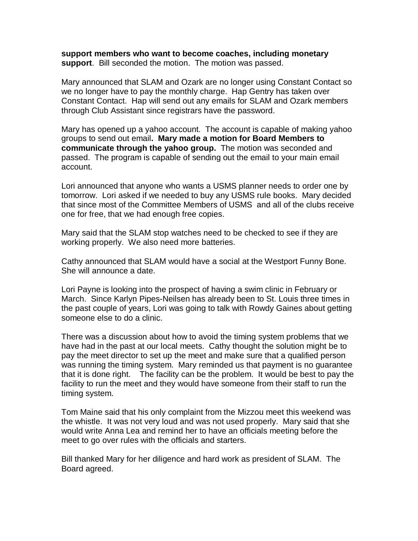**support members who want to become coaches, including monetary support**. Bill seconded the motion. The motion was passed.

Mary announced that SLAM and Ozark are no longer using Constant Contact so we no longer have to pay the monthly charge. Hap Gentry has taken over Constant Contact. Hap will send out any emails for SLAM and Ozark members through Club Assistant since registrars have the password.

Mary has opened up a yahoo account. The account is capable of making yahoo groups to send out email**. Mary made a motion for Board Members to communicate through the yahoo group.** The motion was seconded and passed. The program is capable of sending out the email to your main email account.

Lori announced that anyone who wants a USMS planner needs to order one by tomorrow. Lori asked if we needed to buy any USMS rule books. Mary decided that since most of the Committee Members of USMS and all of the clubs receive one for free, that we had enough free copies.

Mary said that the SLAM stop watches need to be checked to see if they are working properly. We also need more batteries.

Cathy announced that SLAM would have a social at the Westport Funny Bone. She will announce a date.

Lori Payne is looking into the prospect of having a swim clinic in February or March. Since Karlyn Pipes-Neilsen has already been to St. Louis three times in the past couple of years, Lori was going to talk with Rowdy Gaines about getting someone else to do a clinic.

There was a discussion about how to avoid the timing system problems that we have had in the past at our local meets. Cathy thought the solution might be to pay the meet director to set up the meet and make sure that a qualified person was running the timing system. Mary reminded us that payment is no guarantee that it is done right. The facility can be the problem. It would be best to pay the facility to run the meet and they would have someone from their staff to run the timing system.

Tom Maine said that his only complaint from the Mizzou meet this weekend was the whistle. It was not very loud and was not used properly. Mary said that she would write Anna Lea and remind her to have an officials meeting before the meet to go over rules with the officials and starters.

Bill thanked Mary for her diligence and hard work as president of SLAM. The Board agreed.